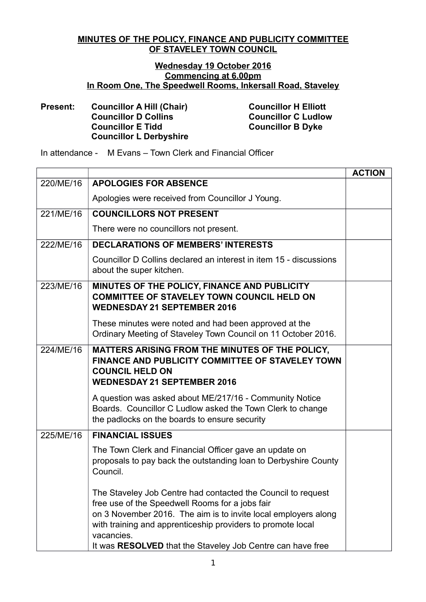## **MINUTES OF THE POLICY, FINANCE AND PUBLICITY COMMITTEE OF STAVELEY TOWN COUNCIL**

## **Wednesday 19 October 2016 Commencing at 6.00pm In Room One, The Speedwell Rooms, Inkersall Road, Staveley**

## **Present: Councillor A Hill (Chair) Councillor H Elliott Councillor D Collins Councillor C Ludlow Councillor E Tidd Councillor B Dyke Councillor L Derbyshire**

In attendance - M Evans – Town Clerk and Financial Officer

|           |                                                                                                                                                                                                                                                                                                                              | <b>ACTION</b> |
|-----------|------------------------------------------------------------------------------------------------------------------------------------------------------------------------------------------------------------------------------------------------------------------------------------------------------------------------------|---------------|
| 220/ME/16 | <b>APOLOGIES FOR ABSENCE</b>                                                                                                                                                                                                                                                                                                 |               |
|           | Apologies were received from Councillor J Young.                                                                                                                                                                                                                                                                             |               |
| 221/ME/16 | <b>COUNCILLORS NOT PRESENT</b>                                                                                                                                                                                                                                                                                               |               |
|           | There were no councillors not present.                                                                                                                                                                                                                                                                                       |               |
| 222/ME/16 | <b>DECLARATIONS OF MEMBERS' INTERESTS</b>                                                                                                                                                                                                                                                                                    |               |
|           | Councillor D Collins declared an interest in item 15 - discussions<br>about the super kitchen.                                                                                                                                                                                                                               |               |
| 223/ME/16 | MINUTES OF THE POLICY, FINANCE AND PUBLICITY<br><b>COMMITTEE OF STAVELEY TOWN COUNCIL HELD ON</b><br><b>WEDNESDAY 21 SEPTEMBER 2016</b>                                                                                                                                                                                      |               |
|           | These minutes were noted and had been approved at the<br>Ordinary Meeting of Staveley Town Council on 11 October 2016.                                                                                                                                                                                                       |               |
| 224/ME/16 | MATTERS ARISING FROM THE MINUTES OF THE POLICY,<br>FINANCE AND PUBLICITY COMMITTEE OF STAVELEY TOWN<br><b>COUNCIL HELD ON</b><br><b>WEDNESDAY 21 SEPTEMBER 2016</b>                                                                                                                                                          |               |
|           | A question was asked about ME/217/16 - Community Notice<br>Boards. Councillor C Ludlow asked the Town Clerk to change<br>the padlocks on the boards to ensure security                                                                                                                                                       |               |
| 225/ME/16 | <b>FINANCIAL ISSUES</b>                                                                                                                                                                                                                                                                                                      |               |
|           | The Town Clerk and Financial Officer gave an update on<br>proposals to pay back the outstanding loan to Derbyshire County<br>Council.                                                                                                                                                                                        |               |
|           | The Staveley Job Centre had contacted the Council to request<br>free use of the Speedwell Rooms for a jobs fair<br>on 3 November 2016. The aim is to invite local employers along<br>with training and apprenticeship providers to promote local<br>vacancies.<br>It was RESOLVED that the Staveley Job Centre can have free |               |
|           |                                                                                                                                                                                                                                                                                                                              |               |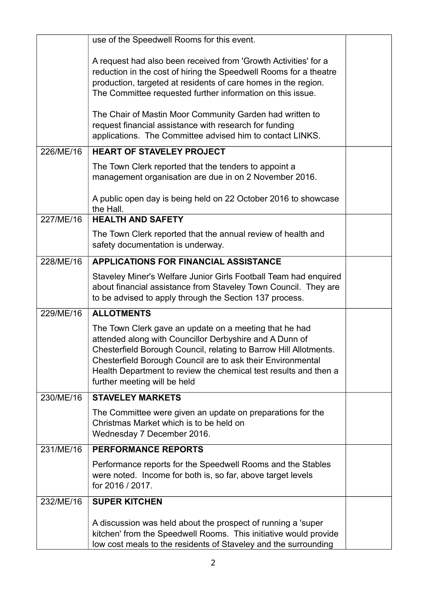|           | use of the Speedwell Rooms for this event.                                                                                                                                                                                                                                                                                                                |  |
|-----------|-----------------------------------------------------------------------------------------------------------------------------------------------------------------------------------------------------------------------------------------------------------------------------------------------------------------------------------------------------------|--|
|           | A request had also been received from 'Growth Activities' for a<br>reduction in the cost of hiring the Speedwell Rooms for a theatre<br>production, targeted at residents of care homes in the region.<br>The Committee requested further information on this issue.                                                                                      |  |
|           | The Chair of Mastin Moor Community Garden had written to<br>request financial assistance with research for funding<br>applications. The Committee advised him to contact LINKS.                                                                                                                                                                           |  |
| 226/ME/16 | <b>HEART OF STAVELEY PROJECT</b>                                                                                                                                                                                                                                                                                                                          |  |
|           | The Town Clerk reported that the tenders to appoint a<br>management organisation are due in on 2 November 2016.                                                                                                                                                                                                                                           |  |
|           | A public open day is being held on 22 October 2016 to showcase<br>the Hall.                                                                                                                                                                                                                                                                               |  |
| 227/ME/16 | <b>HEALTH AND SAFETY</b>                                                                                                                                                                                                                                                                                                                                  |  |
|           | The Town Clerk reported that the annual review of health and<br>safety documentation is underway.                                                                                                                                                                                                                                                         |  |
| 228/ME/16 | <b>APPLICATIONS FOR FINANCIAL ASSISTANCE</b>                                                                                                                                                                                                                                                                                                              |  |
|           | Staveley Miner's Welfare Junior Girls Football Team had enquired<br>about financial assistance from Staveley Town Council. They are<br>to be advised to apply through the Section 137 process.                                                                                                                                                            |  |
| 229/ME/16 | <b>ALLOTMENTS</b>                                                                                                                                                                                                                                                                                                                                         |  |
|           | The Town Clerk gave an update on a meeting that he had<br>attended along with Councillor Derbyshire and A Dunn of<br>Chesterfield Borough Council, relating to Barrow Hill Allotments.<br>Chesterfield Borough Council are to ask their Environmental<br>Health Department to review the chemical test results and then a<br>further meeting will be held |  |
| 230/ME/16 | <b>STAVELEY MARKETS</b>                                                                                                                                                                                                                                                                                                                                   |  |
|           | The Committee were given an update on preparations for the<br>Christmas Market which is to be held on<br>Wednesday 7 December 2016.                                                                                                                                                                                                                       |  |
| 231/ME/16 | <b>PERFORMANCE REPORTS</b>                                                                                                                                                                                                                                                                                                                                |  |
|           | Performance reports for the Speedwell Rooms and the Stables<br>were noted. Income for both is, so far, above target levels<br>for 2016 / 2017.                                                                                                                                                                                                            |  |
| 232/ME/16 | <b>SUPER KITCHEN</b>                                                                                                                                                                                                                                                                                                                                      |  |
|           | A discussion was held about the prospect of running a 'super<br>kitchen' from the Speedwell Rooms. This initiative would provide<br>low cost meals to the residents of Staveley and the surrounding                                                                                                                                                       |  |